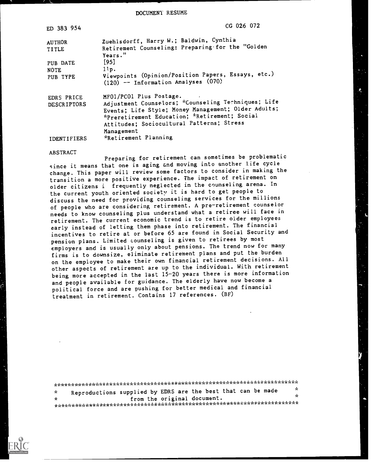DOCUMENT RESUME

| ED 383 954                       | $CG$ 026 072                                                                                                                                                                           |
|----------------------------------|----------------------------------------------------------------------------------------------------------------------------------------------------------------------------------------|
| <b>AUTHOR</b><br>TITLE           | Zuehlsdorff, Harry W.; Baldwin, Cynthia<br>Retirement Counseling: Preparing for the "Golden<br>Years."                                                                                 |
| PUB DATE                         | $[95]$                                                                                                                                                                                 |
| <b>NOTE</b>                      | 11p.                                                                                                                                                                                   |
| PUB TYPE                         | Viewpoints (Opinion/Position Papers, Essays, etc.)<br>$(120)$ -- Information Analyses $(070)$                                                                                          |
| EDRS PRICE<br><b>DESCRIPTORS</b> | MF01/PC01 Plus Postage.<br>Adjustment Counselors; *Counseling Techniques; Life<br>Events; Life Style; Money Management; Older Adults;<br>*Preretirement Education; *Retirement; Social |
| IDENTIFIERS                      | Attitudes; Sociocultural Patterns; Stress<br>Management<br>*Retirement Planning                                                                                                        |
|                                  |                                                                                                                                                                                        |

#### ABSTRACT

Preparing for retirement can sometimes be problematic since it means that one is aging and moving into another life cycle change. This paper will review some factors to consider in making the transition a more positive experience. The impact of retirement on older citizens i frequently neglected in the counseling arena. In the current youth oriented society it is hard to get people to discuss the need for providing counseling services for the millions of people who are considering retirement. A pre-retirement counselor needs to know counseling plus understand what a retiree will face in retirement. The current economic trend is to retire older employees early instead of letting them phase into retirement. The financial incentives to retire at or before 65 are found in Social Security and pension plans. Limited counseling is given to retirees by most employers and is usually only about pensions. The trend now for many firms is to downsize, eliminate retirement plans and put the burden on the employee to make their own financial retirement decisions. All other aspects of retirement are up to the individual. With retirement being more accepted in the last 15-20 years there is more information and people available for guidance. The elderly have now become a political force and are pushing for better medical and financial treatment in retirement. Contains 17 references. (BF)

| - ve i       | Reproductions supplied by EDRS are the best that can be made |                             |  |  | -SC |
|--------------|--------------------------------------------------------------|-----------------------------|--|--|-----|
| $\mathbf{x}$ |                                                              | from the original document. |  |  | x   |
|              |                                                              |                             |  |  |     |

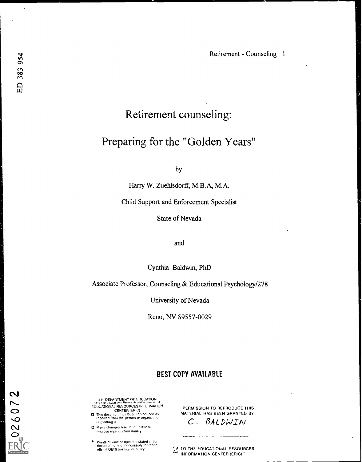$\ddot{\phantom{a}}$ 

 $0.2607$ 

# Retirement counseling:

# Preparing for the "Golden Years"

by

Harry W. Zuehlsdorff, M.B.A, M.A.

Child Support and Enforcement Specialist

State of Nevada

and

Cynthia Baldwin, PhD

Associate Professor, Counseling & Educational Psychology/278

University of Nevada

Reno, NV 89557-0029

### BEST COPY AVAILABLE

U 5 DEPARTMENT OF ENCOUNTING DEPARTMENT OF EDUCATION<br>Unit of Educational Resources INFORMATION<br>EDUCATIONAL RESOURCES INFORMATION

C.) CENTER (ERIC) This document has been reproduced as C) received from the person or organwation originating it

C\I Minot changes have been mace to improve reproduction quality

 $\bullet$  - Points of view or opinions stated in this document do not necessarily represent  $\bullet$ official OERI position or policy

-PERMISSION TO REPRODUCE THIS MATERIAL HAS BEEN GRANTED BY

C. BALDWIN

11 70 THE EDUCATIONAL. RESOURCES 4" INFORMATION CENTER (ERIC)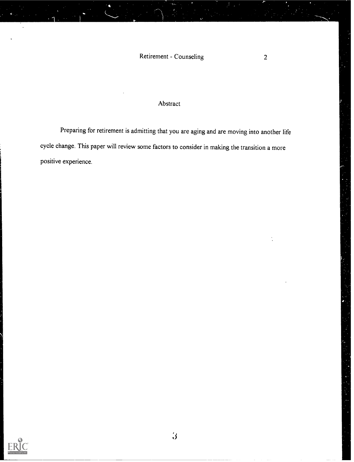## Abstract

Preparing for retirement is admitting that you are aging and are moving into another life cycle change. This paper will review some factors to consider in making the transition a more positive experience.

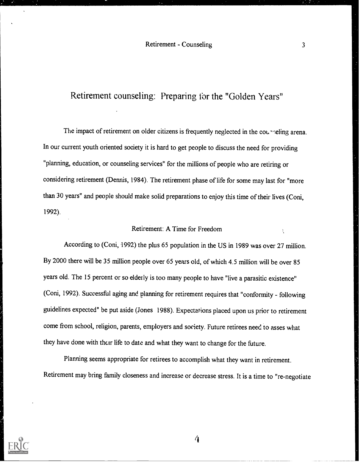## Retirement counseling: Preparing for the "Golden Years"

The impact of retirement on older citizens is frequently neglected in the counneling arena. In our current youth oriented society it is hard to get people to discuss the need for providing "planning, education, or counseling services" for the millions of people who are retiring or considering retirement (Dennis, 1984). The retirement phase of life for some may last for "more than 30 years" and people should make solid preparations to enjoy this time of their lives (Coni, 1992).

### Retirement: A Time for Freedom

According to (Coni, 1992) the plus 65 population in the US in 1989 was over 27 million. By 2000 there will be 35 million people over 65 years old, of which 4.5 million will be over 85 years old. The 15 percent or so elderly is too many people to have "live a parasitic existence" (Coni, 1992). Successful aging and planning for retirement requires that "conformity - following guidelines expected" be put aside (Jones 1988). Expectations placed upon us prior to retirement come from school, religion, parents, employers and society. Future retirees need to asses what they have done with their life to date and what they want to change for the future.

Planning seems appropriate for retirees to accomplish what they want in retirement. Retirement may bring family closeness and increase or decrease stress. It is a time to "re-negotiate



 $\overline{4}$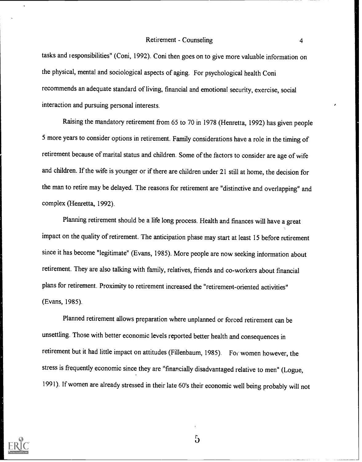tasks and responsibilities" (Coni, 1992). Coni then goes on to give more valuable information on the physical, mental and sociological aspects of aging. For psychological health Coni recommends an adequate standard of living, financial and emotional security, exercise, social interaction and pursuing personal interests.

Raising the mandatory retirement from 65 to 70 in 1978 (Henretta, 1992) has given people 5 more years to consider options in retirement. Family considerations have a role in the timing of retirement because of marital status and children. Some of the factors to consider are age of wife and children. If the wife is younger or if there are children under 21 still at home, the decision for the man to retire may be delayed. The reasons for retirement are "distinctive and overlapping" and complex (Henretta, 1992).

Planning retirement should be a life long process. Health and finances will have a great impact on the quality of retirement. The anticipation phase may start at least 15 before retirement since it has become "legitimate" (Evans, 1985). More people are now seeking information about retirement. They are also talking with family, relatives, friends and co-workers about financial plans for retirement. Proximity to retirement increased the "retirement-oriented activities" (Evans, 1985).

Planned retirement allows preparation where unplanned or forced retirement can be unsettling. Those with better economic levels reported better health and consequences in retirement but it had little impact on attitudes (Fillenbaum, 1985). For. women however, the stress is frequently economic since they are "financially disadvantaged relative to men" (Logue, 1991). If women are already stressed in their late 60's their economic well being probably will not



 $\mathbf 5$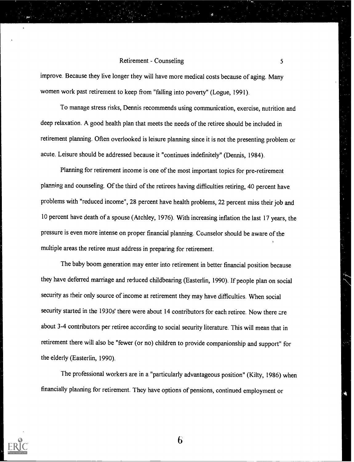improve. Because they live longer they will have more medical costs because of aging. Many women work past retirement to keep from "falling into poverty" (Logue, 1991).

To manage stress risks, Dennis recommends using communication, exercise, nutrition and deep relaxation. A good health plan that meets the needs of the retiree should be included in retirement planning. Often overlooked is leisure planning since it is not the presenting problem or acute. Leisure should be addressed because it "continues indefinitely" (Dennis, 1984).

Planning for retirement income is one of the most important topics for pre-retirement planning and counseling. Of the third of the retirees having difficulties retiring, 40 percent have problems with "reduced income", 28 percent have health problems, 22 percent miss their job and 10 percent have death of a spouse (Atchley, 1976). With increasing inflation the last 17 years, the pressure is even more intense on proper financial planning. Counselor should be aware of the multiple areas the retiree must address in preparing for retirement.

The baby boom generation may enter into retirement in better financial position because they have deferred marriage and reduced childbearing (Easterlin, 1990). If people plan on social security as their only source of income at retirement they may have difficulties. When social security started in the 1930s' there were about 14 contributors for each retiree. Now there are about 3-4 contributors per retiree according to social security literature. This will mean that in retirement there will also be "fewer (or no) children to provide companionship and support" for the elderly (Easterlin, 1990).

The professional workers are in a "particularly advantageous position" (Kilty, 1986) when financially planning for retirement. They have options of pensions, continued employment or

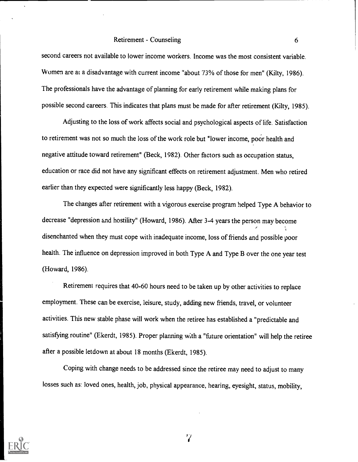second careers not available to lower income workers. Income was the most consistent variable. Women are at a disadvantage with current income "about 73% of those for men" (Kilty, 1986). The professionals have the advantage of planning for early retirement while making plans for possible second careers. This indicates that plans must be made for after retirement (Kilty, 1985).

Adjusting to the loss of work affects social and psychological aspects of life. Satisfaction to retirement was not so much the loss of the work role but "lower income, poor health and negative attitude toward retirement" (Beck, 1982). Other factors such as occupation status, education or race did not have any significant effects on retirement adjustment. Men who retired earlier than they expected were significantly less happy (Beck, 1982).

The changes after retirement with a vigorous exercise program helped Type A behavior to decrease "depression and hostility" (Howard, 1986). After 3-4 years the person may become disenchanted when they must cope with inadequate income, loss of friends and possible poor health. The influence on depression improved in both Type A and Type B over the one year test (Howard, 1986).

Retirement requires that 40-60 hours need to be taken up by other activities to replace employment. These can be exercise, leisure, study, adding new friends, travel, or volunteer activities. This new stable phase will work when the retiree has established a "predictable and satisfying routine" (Ekerdt, 1985). Proper planning w;th a "future orientation" will help the retiree after a possible letdown at about 18 months (Ekerdt, 1985).

Coping with change needs to be addressed since the retiree may need to adjust to many losses such as: loved ones, health, job, physical appearance, hearing, eyesight, status, mobility,



 $\mathbf{Z}^{\prime}$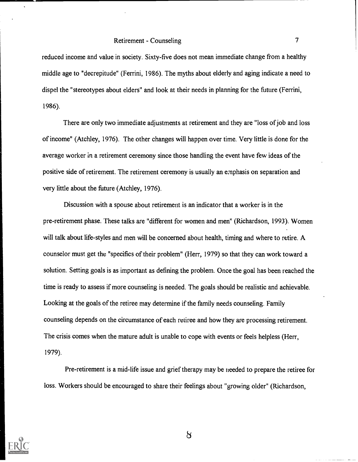reduced income and value in society. Sixty-five does not mean immediate change from a healthy middle age to "decrepitude" (Ferrini, 1986). The myths about elderly and aging indicate a need to dispel the "stereotypes about elders" and look at their needs in planning for the future (Ferrini, 1986).

There are only two immediate adjustments at retirement and they are "loss of job and loss of income" (Atchley, 1976). The other changes will happen over time. Very little is done for the average worker in a retirement ceremony since those handling the event have few ideas of the positive side of retirement. The retirement ceremony is usually an emphasis on separation and very little about the future (Atchley, 1976).

Discussion with a spouse about retirement is an indicator that a worker is in the pre-retirement phase. These talks are "different for women and men" (Richardson, 1993). Women will talk about life-styles and men will be concerned about health, timing and where to retire. A counselor must get the "specifics of their problem" (Herr, 1979) so that they can work toward a solution. Setting goals is as important as defining the problem. Once the goal has been reached the time is ready to assess if more counseling is needed. The goals should be realistic and achievable. Looking at the goals of the retiree may determine if the family needs counseling. Family counseling depends on the circumstance of each retiree and how they are processing retirement. The crisis comes when the mature adult is unable to cope with events or feels helpless (Herr, 1979).

Pre-retirement is a mid-life issue and grief therapy may be needed to prepare the retiree for loss. Workers should be encouraged to share their feelings about "growing older" (Richardson,



8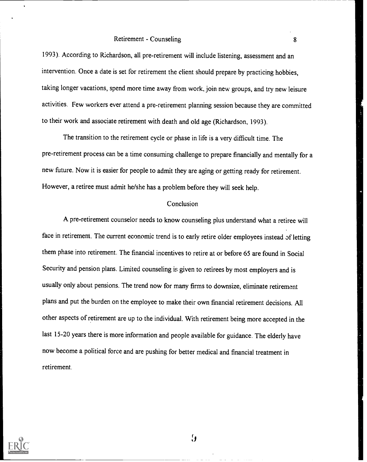1993). According to Richardson, all pre-retirement will include listening, assessment and an intervention. Once a date is set for retirement the client should prepare by practicing hobbies, taking longer vacations, spend more time away from work, join new groups, and try new leisure activities. Few workers ever attend a pre-retirement planning session because they are committed to their work and associate retirement with death and old age (Richardson, 1993).

The transition to the retirement cycle or phase in life is a very difficult time. The pre-retirement process can be a time consuming challenge to prepare financially and mentally for a new future. Now it is easier for people to admit they are aging or getting ready for retirement. However, a retiree must admit he/she has a problem before they will seek help.

#### **Conclusion**

A pre-retirement counselor needs to know counseling plus understand what a retiree will face in retirement. The current economic trend is to early retire older employees instead of letting them phase into retirement. The financial incentives to retire at or before 65 are found in Social Security and pension plans. Limited counseling is given to retirees by most employers and is usually only about pensions. The trend now for many firms to downsize, eliminate retirement plans and put the burden on the employee to make their own financial retirement decisions. All other aspects of retirement are up to the individual. With retirement being more accepted in the last 15-20 years there is more information and people available for guidance. The elderly have now become a political force and are pushing for better medical and financial treatment in retirement.



 $\mathbf{y}$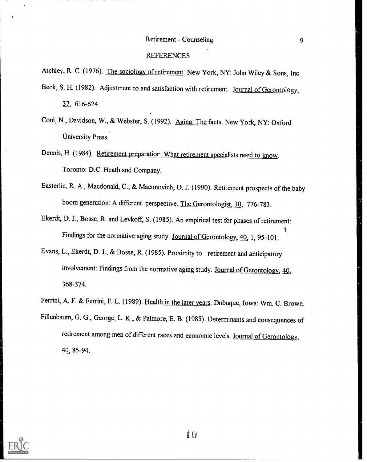#### REFERENCES

Atchley, R. C. (1976). The sociology of retirement. New York, NY: John Wiley & Sons, Inc.

- Beck, S. H. (1982). Adjustment to and satisfaction with retirement. Journal of Gerontology, 37, 616-624.
- Coni, N., Davidson, W., & Webster, S. (1992). Aging: The facts. New York, NY: Oxford University Press.
- Dennis, H. (1984). Retirement preparatior: What retirement specialists need to know. Toronto: D.C. Heath and Company.
- Easterlin, R. A., Macdonald, C., & Macunovich, D. J. (1990). Retirement prospects of the baby boom generation: A different perspective. The Gerontologist, 30, 776-783.
- Ekerdt, D. J., Bosse, R. and Levkoff, S. (1985). An empirical test for phases of retirement: 1 (1991) Findings for the normative aging study. Journal of Gerontology, 40, 1, 95-101.
- Evans, L., Ekerdt, D. J., & Bosse, R. (1985). Proximity to retirement and anticipatory involvement: Findings from the normative aging study. Journal of Gerontology, 40, 368-374.
- Ferrini, A. F. & Ferrini, F. L. (1989). Health in the later years. Dubuque, Iowa: Wm. C. Brown.
- Fillenbaum, G. G., George, L. K., & Palmore, E. B. (1985). Determinants and consequences of retirement among men of different races and economic levels. Journal of Gerontology, 40, 85-94.